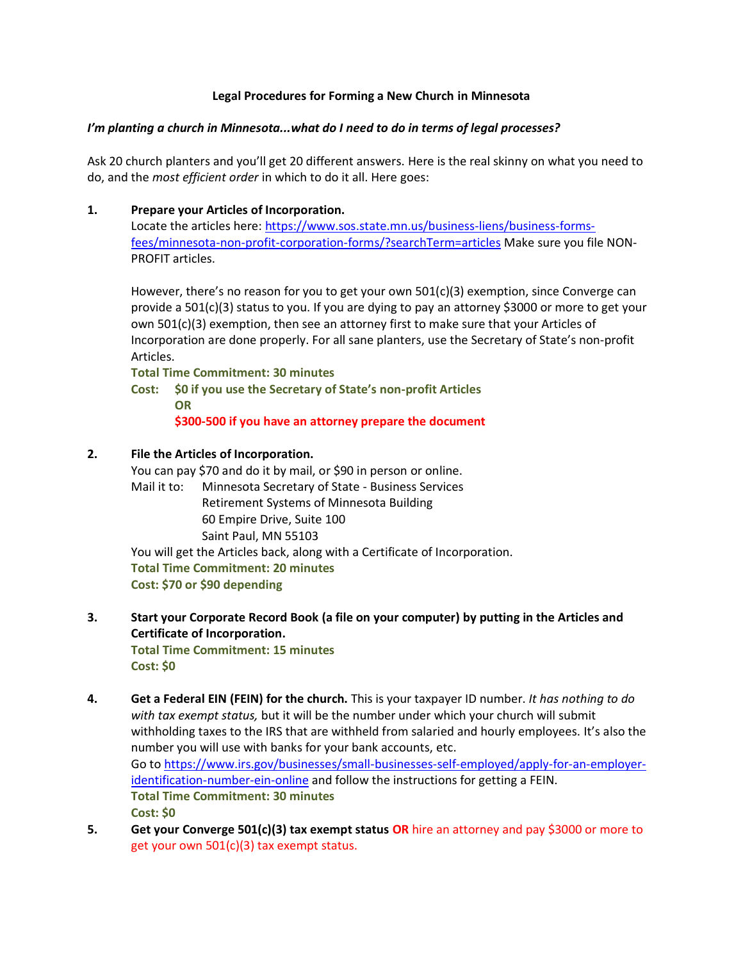## **Legal Procedures for Forming a New Church in Minnesota**

### *I'm planting a church in Minnesota...what do I need to do in terms of legal processes?*

Ask 20 church planters and you'll get 20 different answers. Here is the real skinny on what you need to do, and the *most efficient order* in which to do it all. Here goes:

# **1. Prepare your Articles of Incorporation.**

Locate the articles here: [https://www.sos.state.mn.us/business-liens/business-forms](https://www.sos.state.mn.us/business-liens/business-forms-fees/minnesota-non-profit-corporation-forms/?searchTerm=articles)[fees/minnesota-non-profit-corporation-forms/?searchTerm=articles](https://www.sos.state.mn.us/business-liens/business-forms-fees/minnesota-non-profit-corporation-forms/?searchTerm=articles) Make sure you file NON-PROFIT articles.

However, there's no reason for you to get your own 501(c)(3) exemption, since Converge can provide a 501(c)(3) status to you. If you are dying to pay an attorney \$3000 or more to get your own 501(c)(3) exemption, then see an attorney first to make sure that your Articles of Incorporation are done properly. For all sane planters, use the Secretary of State's non-profit Articles.

**Total Time Commitment: 30 minutes**

**Cost: \$0 if you use the Secretary of State's non-profit Articles OR**

**\$300-500 if you have an attorney prepare the document**

## **2. File the Articles of Incorporation.**

You can pay \$70 and do it by mail, or \$90 in person or online.

Mail it to: Minnesota Secretary of State - Business Services Retirement Systems of Minnesota Building 60 Empire Drive, Suite 100 Saint Paul, MN 55103

You will get the Articles back, along with a Certificate of Incorporation. **Total Time Commitment: 20 minutes Cost: \$70 or \$90 depending** 

**3. Start your Corporate Record Book (a file on your computer) by putting in the Articles and Certificate of Incorporation.**

**Total Time Commitment: 15 minutes Cost: \$0**

- **4. Get a Federal EIN (FEIN) for the church.** This is your taxpayer ID number. *It has nothing to do with tax exempt status,* but it will be the number under which your church will submit withholding taxes to the IRS that are withheld from salaried and hourly employees. It's also the number you will use with banks for your bank accounts, etc. Go to [https://www.irs.gov/businesses/small-businesses-self-employed/apply-for-an-employer](https://www.irs.gov/businesses/small-businesses-self-employed/apply-for-an-employer-identification-number-ein-online)[identification-number-ein-online](https://www.irs.gov/businesses/small-businesses-self-employed/apply-for-an-employer-identification-number-ein-online) and follow the instructions for getting a FEIN. **Total Time Commitment: 30 minutes Cost: \$0**
- **5. Get your Converge 501(c)(3) tax exempt status OR** hire an attorney and pay \$3000 or more to get your own 501(c)(3) tax exempt status.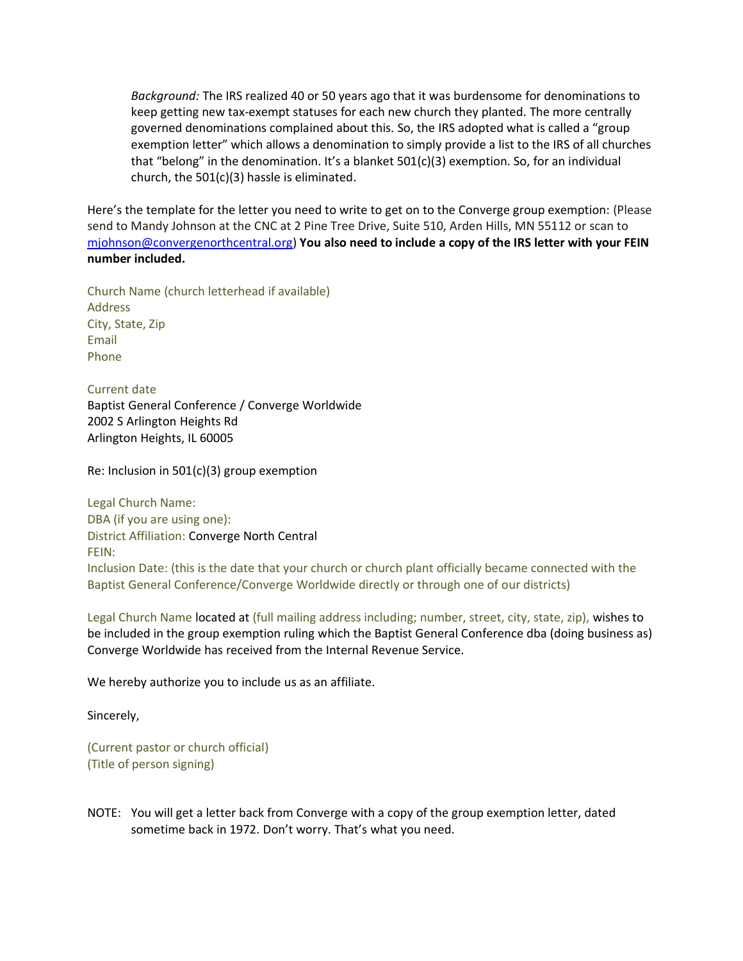*Background:* The IRS realized 40 or 50 years ago that it was burdensome for denominations to keep getting new tax-exempt statuses for each new church they planted. The more centrally governed denominations complained about this. So, the IRS adopted what is called a "group exemption letter" which allows a denomination to simply provide a list to the IRS of all churches that "belong" in the denomination. It's a blanket 501(c)(3) exemption. So, for an individual church, the 501(c)(3) hassle is eliminated.

Here's the template for the letter you need to write to get on to the Converge group exemption: (Please send to Mandy Johnson at the CNC at 2 Pine Tree Drive, Suite 510, Arden Hills, MN 55112 or scan to [mjohnson@convergenorthcentral.org\)](mailto:mjohnson@convergenorthcentral.org) **You also need to include a copy of the IRS letter with your FEIN number included.**

Church Name (church letterhead if available) Address City, State, Zip Email Phone

Current date Baptist General Conference / Converge Worldwide 2002 S Arlington Heights Rd Arlington Heights, IL 60005

Re: Inclusion in 501(c)(3) group exemption

Legal Church Name: DBA (if you are using one): District Affiliation: Converge North Central FEIN: Inclusion Date: (this is the date that your church or church plant officially became connected with the Baptist General Conference/Converge Worldwide directly or through one of our districts)

Legal Church Name located at (full mailing address including; number, street, city, state, zip), wishes to be included in the group exemption ruling which the Baptist General Conference dba (doing business as) Converge Worldwide has received from the Internal Revenue Service.

We hereby authorize you to include us as an affiliate.

Sincerely,

(Current pastor or church official) (Title of person signing)

NOTE: You will get a letter back from Converge with a copy of the group exemption letter, dated sometime back in 1972. Don't worry. That's what you need.